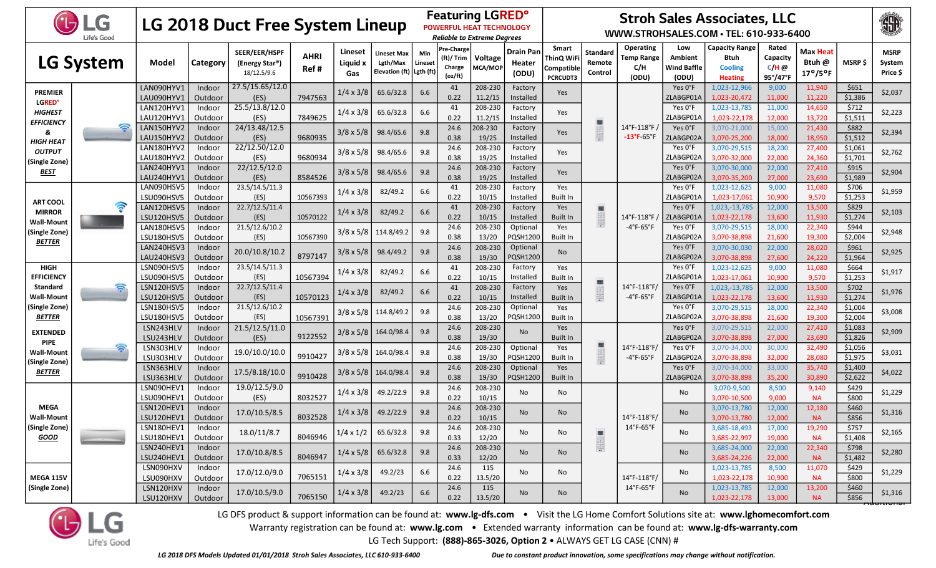|                                      | <b>UDLG</b><br>Life's Good |                                 |                   | <b>LG 2018 Duct Free System Lineup</b>                      |                     |                                      |                                                                    |                |                                                      | <b>Featuring LGRED°</b><br><b>POWERFUL HEAT TECHNOLOGY</b><br><b>Reliable to Extreme Degrees</b> |                              | <b>Stroh Sales Associates, LLC</b><br>WWW.STROHSALES.COM · TEL: 610-933-6400 |                               |                                                                    |                                               |                                                                   |                                          |                                                |                    |                                   |
|--------------------------------------|----------------------------|---------------------------------|-------------------|-------------------------------------------------------------|---------------------|--------------------------------------|--------------------------------------------------------------------|----------------|------------------------------------------------------|--------------------------------------------------------------------------------------------------|------------------------------|------------------------------------------------------------------------------|-------------------------------|--------------------------------------------------------------------|-----------------------------------------------|-------------------------------------------------------------------|------------------------------------------|------------------------------------------------|--------------------|-----------------------------------|
|                                      | <b>LG System</b>           | Model                           | Category          | SEER/EER/HSPF<br>(Energy Star <sup>®</sup> )<br>18/12.5/9.6 | <b>AHRI</b><br>Ref# | Lineset<br>Liguid x<br>Gas           | <b>Lineset Max</b><br>Lgth/Max<br>Elevation (ft) $\vert$ Lgth (ft) | Min<br>Lineset | <b>Pre-Charge</b><br>(ft)/ Trim<br>Charge<br>(oz/ft) | Voltage<br>MCA/MOP                                                                               | Drain Pan<br>Heater<br>(ODU) | <b>Smart</b><br>ThinQ WiFi<br>Compatible<br><b>PCRCUDT3</b>                  | Standard<br>Remote<br>Control | Operating<br><b>Temp Range</b><br>C/H<br>(ODU)                     | Low<br>Ambient<br><b>Wind Baffle</b><br>(ODU) | <b>Capacity Range</b><br>Btuh<br><b>Cooling</b><br><b>Heating</b> | Rated<br>Capacity<br>$C/H$ @<br>95°/47°F | Max Heat<br>Btuh @<br>$17^{\circ}/5^{\circ}$ F | <b>MSRP \$</b>     | <b>MSRP</b><br>System<br>Price \$ |
| <b>PREMIER</b><br><b>LGRED</b> °     |                            | LAN090HYV1<br>LAU090HYV1        | Indoor<br>Outdoor | 27.5/15.65/12.0<br>(ES)                                     | 7947563             | $1/4 \times 3/8$                     | 65.6/32.8                                                          | 6.6            | 41<br>0.22                                           | 208-230<br>11.2/15                                                                               | Factory<br>Installed         | Yes                                                                          |                               |                                                                    | Yes O°F<br>ZLABGP01A                          | 1,023-12,966<br>1,023-20,472                                      | 9,000<br>11,000                          | 11,940<br>11,220                               | \$651<br>\$1,386   | \$2,037                           |
| <b>HIGHEST</b><br><b>EFFICIENCY</b>  |                            | LAN120HYV1<br>LAU120HYV1        | Indoor<br>Outdoor | 25.5/13.8/12.0<br>(ES)                                      | 7849625             | $1/4 \times 3/8$                     | 65.6/32.8                                                          | 6.6            | 41<br>0.22                                           | 208-230<br>11.2/15                                                                               | Factory<br>Installed         | Yes                                                                          | 圖                             |                                                                    | Yes O°F<br>ZLABGP01A                          | 1,023-13,785<br>1,023-22,178                                      | 11,000<br>12,000                         | 14,650<br>13,720                               | \$712<br>\$1,511   | \$2,223                           |
| 8<br>HIGH HEAT                       |                            | LAN150HYV2<br>LAU150HYV2        | Indoor<br>Outdoor | 24/13.48/12.5<br>(ES)                                       | 9680935             | $3/8 \times 5/8$                     | 98.4/65.6                                                          | 9.8            | 24.6<br>0.38                                         | 208-230<br>19/25                                                                                 | Factory<br>Installed         | Yes                                                                          | <b>DOGGEGG</b><br>BELEGGE     | 14°F-118°F<br>$-13^{\circ}$ F $65^{\circ}$ F                       | Yes O°F<br>ZLABGP02A                          | 3.070-21.000<br>3,070-25,200                                      | 15,000<br>18,000                         | 21,430<br>18,950                               | \$882<br>\$1,512   | \$2,394                           |
| <b>OUTPUT</b><br>(Single Zone)       |                            | LAN180HYV2<br>LAU180HYV2        | Indoor<br>Outdoor | 22/12.50/12.0<br>(ES)                                       | 9680934             | $3/8 \times 5/8$                     | 98.4/65.6                                                          | 9.8            | 24.6<br>0.38                                         | 208-230<br>19/25                                                                                 | Factory<br>Installed         | Yes                                                                          |                               |                                                                    |                                               | Yes O°F<br>ZLABGP02A                                              | 3,070-29,515<br>3,070-32,000             | 18,200<br>22,000                               | 27,400<br>24,360   | \$1,061<br>\$1,701                |
| <u>BEST</u>                          |                            | LAN240HYV1<br>LAU240HYV1        | Indoor<br>Outdoor | 22/12.5/12.0<br>(ES)                                        | 8584526             | $3/8 \times 5/8$                     | 98.4/65.6                                                          | 9.8            | 24.6<br>0.38                                         | 208-230<br>19/25                                                                                 | Factory<br>Installed         | Yes                                                                          |                               |                                                                    | Yes O°F<br>ZLABGP02A                          | 3,070-30,000<br>3,070-35,200                                      | 22,000<br>27,000                         | 27,410<br>23,690                               | \$915<br>\$1,989   | \$2,904                           |
| <b>ART COOL</b>                      |                            | LAN090HSV5<br>LSU090HSV5        | Indoor<br>Outdoor | 23.5/14.5/11.3<br>(ES)                                      | 10567393            | $1/4 \times 3/8$                     | 82/49.2                                                            | 6.6            | 41<br>0.22                                           | 208-230<br>10/15                                                                                 | Factory<br>Installed         | Yes<br>Built In                                                              |                               |                                                                    | Yes O°F<br>ZLABGP01A                          | 1,023-12,625<br>1,023-17,061                                      | 9,000<br>10,900                          | 11,080<br>9,570                                | \$706<br>\$1,253   | \$1,959                           |
| <b>MIRROR</b><br>Wall-Moun           |                            | LAN120HSV5<br><b>LSU120HSV5</b> | Indoor<br>Outdoor | 22.7/12.5/11.4<br>(ES)                                      | 10570122            | $1/4 \times 3/8$                     | 82/49.2                                                            | 6.6            | 41<br>0.22                                           | 208-230<br>10/15                                                                                 | Factory<br>Installed         | Yes<br>Built In                                                              | 圖                             | 14°F-118°F                                                         | Yes O°F<br>ZLABGP01A                          | 1,023, -13, 785<br>1,023-22,178                                   | 12,000<br>13,600                         | 13,500<br>11,930                               | \$829<br>\$1,274   | \$2,103                           |
| (Single Zone)<br><b>BETTER</b>       |                            | LAN180HSV5<br>LSU180HSV5        | Indoor<br>Outdoor | 21.5/12.6/10.2<br>(ES)                                      | 10567390            |                                      | $3/8 \times 5/8$ 114.8/49.2                                        | 9.8            | 24.6<br>0.38                                         | 208-230<br>13/20                                                                                 | Optional<br>PQSH1200         | Yes<br>Built In                                                              |                               | $-4^{\circ}$ F-65 $^{\circ}$ F                                     | Yes O°F<br>ZLABGP02A                          | 3,070-29,515<br>3,070-38,898                                      | 18,000<br>21,600                         | 22,340<br>19,300                               | \$944<br>\$2,004   | \$2,948                           |
|                                      |                            | LAN240HSV3<br>LAU240HSV3        | Indoor<br>Outdoor | 20.0/10.8/10.2                                              | 8797147             | $3/8 \times 5/8$                     | 98.4/49.2                                                          | 9.8            | 24.6<br>0.38                                         | 208-230<br>19/30                                                                                 | Optional<br><b>PQSH1200</b>  | No                                                                           |                               |                                                                    | Yes O°F<br>ZLABGP02A                          | 3,070-30,030<br>3,070-38,898                                      | 22,000<br>27,600                         | 28,020<br>24,220                               | \$961<br>\$1,964   | \$2,925                           |
| <b>HIGH</b><br><b>EFFICIENCY</b>     |                            | LSN090HSV5<br>LSU090HSV5        | Indoor<br>Outdoor | 23.5/14.5/11.3<br>(ES)                                      | 10567394            | $1/4 \times 3/8$<br>$1/4 \times 3/8$ | 82/49.2                                                            | 6.6            | 41<br>0.22                                           | 208-230<br>10/15                                                                                 | Factory<br>Installed         | Yes<br>Built In                                                              | 画<br>15888                    | $14^{\circ}$ F-118 $^{\circ}$ F/<br>$-4^{\circ}$ F-65 $^{\circ}$ F | Yes O°F<br>ZLABGP01A                          | 1,023-12,625<br>1,023-17,061                                      | 9,000<br>10,900                          | 11,080<br>9,570                                | \$664<br>\$1,253   | \$1,917                           |
| <b>Standard</b><br><b>Wall-Mount</b> |                            | LSN120HSV5<br>LSU120HSV5        | Indoor<br>Outdoor | 22.7/12.5/11.4<br>(ES)                                      | 10570123            |                                      | 82/49.2                                                            | 6.6            | 41<br>0.22                                           | 208-230<br>10/15                                                                                 | Factory<br>Installed         | Yes<br><b>Built In</b>                                                       |                               |                                                                    | Yes O°F<br>ZLABGP01A                          | 1,023,-13,785<br>1,023-22,178                                     | 12,000<br>13,600                         | 13,500<br>11,930                               | \$702<br>\$1,274   | \$1,976                           |
| (Single Zone)<br><b>BETTER</b>       |                            | LSN180HSV5<br><b>LSU180HSV5</b> | Indoor<br>Outdoor | 21.5/12.6/10.2<br>(ES)                                      | 10567391            |                                      | $3/8 \times 5/8$ 114.8/49.2                                        | 9.8            | 24.6<br>0.38                                         | 208-230<br>13/20                                                                                 | Optional<br>PQSH1200         | Yes<br>Built In                                                              |                               |                                                                    | Yes O°F<br>ZLABGP02A                          | 3,070-29,515<br>3,070-38,898                                      | 18,000<br>21,600                         | 22,340<br>19,300                               | \$1,004<br>\$2,004 | \$3,008                           |
| <b>EXTENDED</b><br><b>PIPE</b>       |                            | LSN243HLV<br>LSU243HLV          | Indoor<br>Outdoor | 21.5/12.5/11.0<br>(ES)                                      | 9122552             |                                      | $3/8 \times 5/8$ 164.0/98.4                                        | 9.8            | 24.6<br>0.38                                         | 208-230<br>19/30                                                                                 | <b>No</b>                    | Yes<br><b>Built In</b>                                                       | 88                            |                                                                    | Yes O°F<br>ZLABGP02A                          | 3,070-29,515<br>3,070-38,898                                      | 22,000<br>27,000                         | 27,410<br>23,690                               | \$1,083<br>\$1,826 | \$2,909                           |
| <b>Wall-Mount</b><br>(Single Zone)   | ς                          | LSN303HLV<br>LSU303HLV          | Indoor<br>Outdoor | 19.0/10.0/10.0                                              | 9910427             |                                      | 3/8 x 5/8 164.0/98.4                                               | 9.8            | 24.6<br>0.38                                         | 208-230<br>19/30                                                                                 | Optional<br>PQSH1200         | Yes<br>Built In                                                              | 1989                          | 14°F-118°F/<br>$-4^{\circ}$ F-65 $^{\circ}$ F                      | Yes O°F<br>ZLABGP02A                          | 3,070-34,000<br>3,070-38,898                                      | 30,000<br>32,000                         | 32,490<br>28,080                               | \$1,056<br>\$1,975 | \$3,031                           |
| <b>BETTER</b>                        |                            | LSN363HLV<br>LSU363HLV          | Indoor<br>Outdoor | 17.5/8.18/10.0                                              | 9910428             |                                      | $3/8 \times 5/8$   164.0/98.4                                      | 9.8            | 24.6<br>0.38                                         | 208-230<br>19/30                                                                                 | Optional<br>PQSH1200         | Yes<br><b>Built In</b>                                                       |                               |                                                                    | Yes O°F<br>ZLABGP02A                          | 3,070-34,000<br>3.070-38.898                                      | 33,000<br>35,200                         | 35,740<br>30,890                               | \$1,400<br>\$2,622 | \$4,022                           |
|                                      |                            | LSN090HEV1<br>LSU090HEV1        | Indoor<br>Outdoor | 19.0/12.5/9.0<br>(ES)                                       | 8032527             | $1/4 \times 3/8$                     | 49.2/22.9                                                          | 9.8            | 24.6<br>0.22                                         | 208-230<br>10/15                                                                                 | No                           | No                                                                           |                               |                                                                    | <b>No</b>                                     | 3,070-9,500<br>3,070-10,500                                       | 8,500<br>9,000                           | 9,140<br><b>NA</b>                             | \$429<br>\$800     | \$1,229                           |
| <b>MEGA</b><br><b>Wall-Mount</b>     |                            | LSN120HEV1<br>LSU120HEV1        | Indoor<br>Outdoor | 17.0/10.5/8.5                                               | 8032528             | $1/4 \times 3/8$                     | 49.2/22.9                                                          | 9.8            | 24.6<br>0.22                                         | 208-230<br>10/15                                                                                 | No                           | No                                                                           |                               | 14°F-118°F/                                                        | No                                            | 3,070-13,780<br>3,070-13,780                                      | 12,000<br>12,000                         | 12,180<br><b>NA</b>                            | \$460<br>\$856     | \$1,316                           |
| (Single Zone)  <br><b>GOOD</b>       |                            | LSN180HEV1<br>LSU180HEV1        | Indoor<br>Outdoor | 18.0/11/8.7                                                 | 8046946             |                                      | $1/4 \times 1/2$ 65.6/32.8                                         | 9.8            | 24.6<br>0.33                                         | 208-230<br>12/20                                                                                 | No                           | No                                                                           | 围                             | $14^{\circ}$ F-65 $^{\circ}$ F                                     | <b>No</b>                                     | 3,685-18,493<br>3,685-22,997                                      | 17,000<br>19,000                         | 19,290<br><b>NA</b>                            | \$757<br>\$1,408   | \$2,165                           |
|                                      |                            | LSN240HEV1<br>LSU240HEV1        | Indoor<br>Outdoor | 17.0/10.8/8.5                                               | 8046947             |                                      | $1/4 \times 5/8$ 65.6/32.8                                         | 9.8            | 24.6<br>0.33                                         | 208-230<br>12/20                                                                                 | No                           | No                                                                           |                               |                                                                    | No                                            | 3,685-24,000<br>3,685-24,226                                      | 22,000<br>22,000                         | 22,340<br><b>NA</b>                            | \$798<br>\$1,482   | \$2,280                           |
| <b>MEGA 115V</b>                     |                            | LSN090HXV<br>LSU090HXV          | Indoor<br>Outdoor | 17.0/12.0/9.0                                               | 7065151             | $1/4 \times 3/8$                     | 49.2/23                                                            | 6.6            | 24.6<br>0.22                                         | 115<br>13.5/20                                                                                   | No                           | No                                                                           |                               | 14°F-118°F/                                                        | No                                            | 1,023-13,785<br>1,023-22,178                                      | 8,500<br>10,900                          | 11,070<br><b>NA</b>                            | \$429<br>\$800     | \$1,229                           |
| (Single Zone)                        |                            | LSN120HXV<br>LSU120HXV          | Indoor<br>Outdoor | 17.0/10.5/9.0                                               | 7065150             | $1/4 \times 3/8$                     | 49.2/23                                                            | 6.6            | 24.6<br>0.22                                         | 115<br>13.5/20                                                                                   | <b>No</b>                    | No                                                                           |                               | $14^{\circ}$ F-65 $^{\circ}$ F                                     | No                                            | 1,023-13,785<br>1,023-22,178                                      | 12,000<br>13,000                         | 13,200<br><b>NA</b>                            | \$460<br>\$856     | \$1,316<br><del>ndannomar</del>   |

LG DFS product & support information can be found at: www.lg-dfs.com . Visit the LG Home Comfort Solutions site at: www.lghomecomfort.com

Warranty registration can be found at: www.lg.com • Extended warranty information can be found at: www.lg-dfs-warranty.com

LG Tech Support: (888)-865-3026, Option 2 · ALWAYS GET LG CASE (CNN) #

**D**LG

Life's Good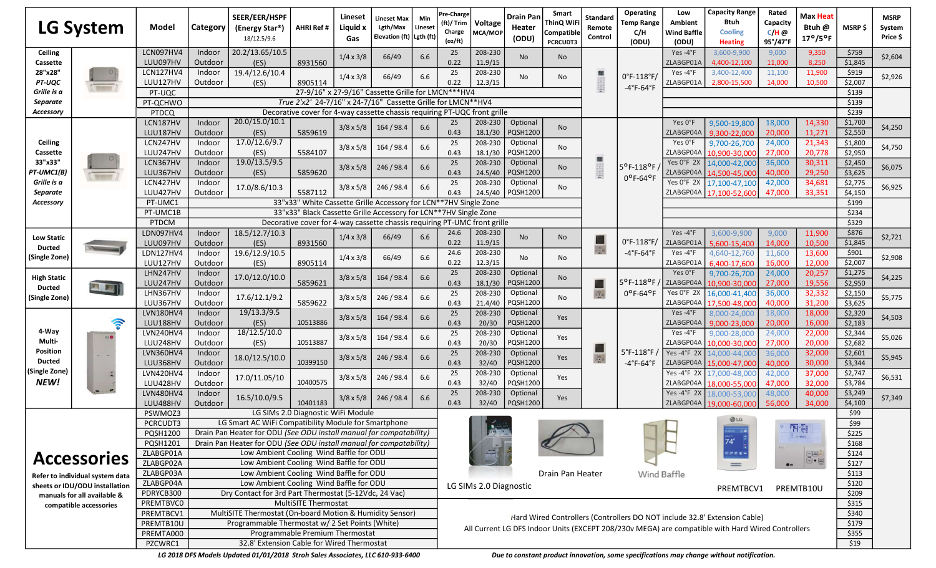|                    | <b>LG System</b>                | <b>Model</b>          | Category          | SEER/EER/HSPF<br>(Energy Star®)<br>18/12.5/9.6                      | AHRI Ref #                                                                                                                                    | Lineset<br>Liquid x<br>Gas | Lineset Max<br>Lgth/Max<br>Elevation (ft)   Lgth (ft) | Min<br>Lineset | Pre-Charge<br>(ft)/ Trim<br>Charge<br>(oz/ft)                                                     | Voltage<br>MCA/MOF     | <b>Drain Pan</b><br>Heater<br>(ODU) | Smart<br>ThinQ WiF<br>Compatible<br><b>PCRCUDT3</b> | Standard<br>Remote<br>Control | Operating<br><b>Temp Range</b><br>C/H<br>(ODU) | Low<br>Ambient<br><b>Wind Baffle</b><br>(ODU) | <b>Capacity Range</b><br>Btuh<br><b>Cooling</b><br><b>Heating</b>         | Rated<br>Capacity<br>$C/H$ @<br>95°/47°F | Max Heat<br>Btuh @<br>$17^{\circ}/5^{\circ}$ F | MSRP \$          | <b>MSRP</b><br>System<br>Price \$                                                                                                                      |
|--------------------|---------------------------------|-----------------------|-------------------|---------------------------------------------------------------------|-----------------------------------------------------------------------------------------------------------------------------------------------|----------------------------|-------------------------------------------------------|----------------|---------------------------------------------------------------------------------------------------|------------------------|-------------------------------------|-----------------------------------------------------|-------------------------------|------------------------------------------------|-----------------------------------------------|---------------------------------------------------------------------------|------------------------------------------|------------------------------------------------|------------------|--------------------------------------------------------------------------------------------------------------------------------------------------------|
| Ceiling            |                                 | LCN097HV4             | Indoor            | 20.2/13.65/10.5                                                     |                                                                                                                                               | $1/4 \times 3/8$           | 66/49                                                 | 6.6            | 25                                                                                                | 208-230                | <b>No</b>                           |                                                     |                               |                                                | Yes-4°F                                       | 3,600-9,900                                                               | 9,000                                    | 9,350                                          | \$759            |                                                                                                                                                        |
| Cassette           |                                 | LUU097HV              | Outdoor           | (ES)                                                                | 8931560                                                                                                                                       |                            |                                                       |                | 0.22                                                                                              | 11.9/15                |                                     | No.                                                 |                               |                                                | ZLABGP01/                                     | 4,400-12,100                                                              | 11,000                                   | 8,250                                          | \$1,845          |                                                                                                                                                        |
| 28"x28"            |                                 | LCN127HV4             | Indoor            | 19.4/12.6/10.4                                                      |                                                                                                                                               | $1/4 \times 3/8$           | 66/49                                                 | 6.6            | 25                                                                                                | 208-230                | No.                                 | No                                                  |                               | $0^{\circ}$ F-118 $^{\circ}$ F/                | Yes-4°F                                       | 3,400-12,400                                                              | 11,100                                   | 11,900                                         | \$919            |                                                                                                                                                        |
| PT-UQC             |                                 | LUU127HV              | Outdoor           | (ES)                                                                | 8905114                                                                                                                                       |                            |                                                       |                | 0.22                                                                                              | 12.3/15                |                                     |                                                     | 199891                        | -4°F-64°F                                      | ZLABGP01A                                     | 2,800-15,500                                                              | 14,000                                   | 10,500                                         | \$2,007          |                                                                                                                                                        |
| Grille is a        |                                 | PT-UQC                |                   |                                                                     |                                                                                                                                               |                            | 27-9/16" x 27-9/16" Cassette Grille for LMCN***HV4    |                |                                                                                                   |                        |                                     |                                                     |                               |                                                |                                               |                                                                           |                                          |                                                | \$139            |                                                                                                                                                        |
| Separate           |                                 | PT-QCHWO              |                   |                                                                     | True 2'x2' 24-7/16" x 24-7/16" Cassette Grille for LMCN**HV4                                                                                  |                            |                                                       |                |                                                                                                   |                        |                                     |                                                     |                               |                                                |                                               |                                                                           |                                          |                                                | \$139            |                                                                                                                                                        |
| Accessory          |                                 | <b>PTDCQ</b>          |                   |                                                                     | Decorative cover for 4-way cassette chassis requiring PT-UQC front grille                                                                     |                            |                                                       |                |                                                                                                   |                        |                                     |                                                     |                               |                                                |                                               |                                                                           |                                          |                                                | \$239            |                                                                                                                                                        |
|                    |                                 | LCN187HV              | Indoor            | 20.0/15.0/10.1                                                      |                                                                                                                                               | $3/8 \times 5/8$           | 164 / 98.4                                            | 6.6            | 25                                                                                                | 208-230                | Optional                            | No                                                  |                               |                                                | Yes 0°F                                       | 9,500-19,800                                                              | 18,000                                   | 14,330                                         | \$1,700          |                                                                                                                                                        |
|                    |                                 | LUU187HV              | Outdoor           | (ES)                                                                | 5859619                                                                                                                                       |                            |                                                       |                | 0.43                                                                                              | 18.1/30                | PQSH1200                            |                                                     |                               |                                                | ZLABGP04A                                     | 9.300-22.000                                                              | 20,000                                   | 11,271                                         | \$2,550          |                                                                                                                                                        |
| Ceiling            |                                 | LCN247HV              | Indoor            | 17.0/12.6/9.7                                                       |                                                                                                                                               | $3/8 \times 5/8$           | 164 / 98.4                                            | 6.6            | 25                                                                                                | 208-230                | Optional                            | No                                                  |                               |                                                | Yes 0°F                                       | 9,700-26,700                                                              | 24,000                                   | 21,343                                         | \$1,800          |                                                                                                                                                        |
| Cassette           |                                 | LUU247HV              | Outdoor           | (ES)                                                                | 5584107                                                                                                                                       |                            |                                                       |                | 0.43                                                                                              | 18.1/30                | PQSH1200                            |                                                     |                               |                                                | ZLABGP04A                                     | 10.900-30.000                                                             | 27,000                                   | 20,778                                         | \$2,950          |                                                                                                                                                        |
| 33"x33"            |                                 | LCN367HV              | Indoor            | 19.0/13.5/9.5                                                       |                                                                                                                                               | $3/8 \times 5/8$           | 246 / 98.4                                            | 6.6            | 25                                                                                                | 208-230                | Optional                            | No                                                  |                               | 5°F-118°F                                      | Yes O°F 2X                                    | 14,000-42,000                                                             | 36,000                                   | 30,311                                         | \$2,450          |                                                                                                                                                        |
| PT-UMC1(B)         |                                 | LUU367HV              | Outdoor           | (ES)                                                                | 5859620                                                                                                                                       |                            |                                                       |                | 0.43                                                                                              | 24.5/40                | PQSH1200                            |                                                     |                               | $0^{\circ}$ F-64°F                             | ZLABGP04A                                     | 14,500-45,000                                                             | 40,000                                   | 29,250                                         | \$3,625          |                                                                                                                                                        |
| Grille is a        |                                 | LCN427HV              | Indoor            | 17.0/8.6/10.3                                                       |                                                                                                                                               | $3/8 \times 5/8$           | 246 / 98.4                                            | 6.6            | 25                                                                                                | 208-230                | Optional                            | No                                                  |                               |                                                | Yes 0°F 2X                                    | 17,100-47,100                                                             | 42,000                                   | 34,681                                         | \$2,775          | \$6,925                                                                                                                                                |
| Separate           |                                 | LUU427HV              | Outdoor           |                                                                     | 5587112                                                                                                                                       |                            |                                                       |                | 0.43                                                                                              | 24.5/40                | <b>PQSH1200</b>                     |                                                     |                               |                                                | ZLABGP04A                                     | 17.100-52,600                                                             | 47.000                                   | 33,351                                         | \$4,150          |                                                                                                                                                        |
| Accessory          |                                 | PT-UMC1               |                   |                                                                     | 33"x33" White Cassette Grille Accessory for LCN**7HV Single Zone                                                                              |                            |                                                       |                |                                                                                                   |                        |                                     |                                                     |                               |                                                |                                               |                                                                           |                                          |                                                | \$199            | \$2,604<br>\$2,926<br>\$4,250<br>\$4,750<br>\$6,075<br>\$2,721<br>\$2,908<br>\$4,225<br>\$5,775<br>\$4,503<br>\$5,026<br>\$5,945<br>\$6,531<br>\$7,349 |
|                    |                                 | PT-UMC1B              |                   |                                                                     | 33"x33" Black Cassette Grille Accessory for LCN**7HV Single Zone<br>Decorative cover for 4-way cassette chassis requiring PT-UMC front grille |                            |                                                       |                |                                                                                                   |                        |                                     |                                                     |                               |                                                |                                               |                                                                           |                                          |                                                | \$234            |                                                                                                                                                        |
|                    |                                 | PTDCM<br>LDN097HV4    | Indoor            | 18.5/12.7/10.3                                                      |                                                                                                                                               |                            |                                                       |                | 24.6                                                                                              |                        |                                     |                                                     |                               |                                                | Yes-4°F                                       |                                                                           |                                          |                                                | \$329            |                                                                                                                                                        |
| <b>Low Static</b>  |                                 |                       |                   |                                                                     |                                                                                                                                               | $1/4 \times 3/8$           | 66/49                                                 | 6.6            |                                                                                                   | 208-230                | No                                  | No                                                  |                               | 0°F-118°F/                                     | ZLABGP01A                                     | 3,600-9,900                                                               | 9,000                                    | 11,900<br>10,500                               | \$876<br>\$1,845 |                                                                                                                                                        |
| <b>Ducted</b>      |                                 | LUU097HV<br>LDN127HV4 | Outdoor           | (ES)<br>19.6/12.9/10.5                                              | 8931560                                                                                                                                       |                            |                                                       |                | 0.22<br>24.6                                                                                      | 11.9/15<br>208-230     |                                     |                                                     | 8.                            | $-4^{\circ}$ F-64 $^{\circ}$ F                 | Yes-4°F                                       | 5.600-15.400<br>4,640-12,760                                              | 14,000                                   |                                                |                  |                                                                                                                                                        |
| (Single Zone)      |                                 | LUU127HV              | Indoor<br>Outdoor | (ES)                                                                | 8905114                                                                                                                                       | $1/4 \times 3/8$           | 66/49                                                 | 6.6            | 0.22                                                                                              | 12.3/15                | No                                  | No                                                  |                               |                                                | ZLABGP01A                                     | 6,400-17,600                                                              | 11,600<br>16,000                         | 13,600<br>12,000                               | \$901<br>\$2,007 |                                                                                                                                                        |
|                    |                                 | LHN247HV              | Indoor            |                                                                     |                                                                                                                                               |                            |                                                       |                | 25                                                                                                | 208-230                | Optional                            |                                                     |                               |                                                | Yes 0°F                                       |                                                                           | 24,000                                   | 20,257                                         | \$1,275          |                                                                                                                                                        |
| <b>High Static</b> |                                 | LUU247HV              | Outdoor           | 17.0/12.0/10.0                                                      | 5859621                                                                                                                                       | $3/8 \times 5/8$           | 164 / 98.4                                            | 6.6            | 0.43                                                                                              | 18.1/30                | PQSH1200                            | No                                                  |                               | $5^{\circ}$ F-118°F/                           | ZLABGP04A                                     | 9,700-26,700<br>10,900-30,000                                             | 27,000                                   | 19,556                                         | \$2,950          |                                                                                                                                                        |
| Ducted             | E                               | LHN367HV              | Indoor            |                                                                     |                                                                                                                                               |                            |                                                       |                | 25                                                                                                | 208-230                | Optional                            |                                                     |                               | $0^{\circ}$ F-64°F                             | Yes O°F 2X                                    |                                                                           | 36,000                                   | 32,332                                         | \$2,150          |                                                                                                                                                        |
| (Single Zone)      |                                 | LUU367HV              | Outdoor           | 17.6/12.1/9.2                                                       | 5859622                                                                                                                                       | $3/8 \times 5/8$           | 246 / 98.4                                            | 6.6            | 0.43                                                                                              | 21.4/40                | PQSH1200                            | No                                                  | $\mathbb{R}^n$                |                                                | ZLABGP04A                                     | 16,000-41,400<br>17,500-48,000                                            | 40,000                                   | 31,200                                         | \$3,625          |                                                                                                                                                        |
|                    |                                 | LVN180HV4             | Indoor            | 19/13.3/9.5                                                         |                                                                                                                                               |                            |                                                       |                | 25                                                                                                | 208-230                | Optional                            |                                                     |                               |                                                | Yes -4°F                                      | 8,000-24,000                                                              | 18,000                                   | 18,000                                         | \$2,320          |                                                                                                                                                        |
|                    | <b>Sec</b>                      | LUU188HV              | Outdoor           | (ES)                                                                | 10513886                                                                                                                                      | $3/8 \times 5/8$           | 164 / 98.4                                            | 6.6            | 0.43                                                                                              | 20/30                  | PQSH1200                            | Yes                                                 |                               |                                                | ZLABGP04A                                     | 9,000-23,000                                                              | 20,000                                   | 16,000                                         | \$2,183          |                                                                                                                                                        |
| 4-Way              |                                 | LVN240HV4             | Indoor            | 18/12.5/10.0                                                        |                                                                                                                                               |                            |                                                       |                | 25                                                                                                | 208-230                | Optional                            |                                                     |                               |                                                | Yes-4°F                                       | 9,000-28,000                                                              | 24,000                                   | 22,000                                         | \$2,344          |                                                                                                                                                        |
| Multi-             | 山参                              | LUU248HV              | Outdoor           | (ES)                                                                | 10513887                                                                                                                                      | $3/8 \times 5/8$           | 164 / 98.4                                            | 6.6            | 0.43                                                                                              | 20/30                  | PQSH1200                            | Yes                                                 |                               |                                                | ZLABGP04A                                     | 10.000-30.000                                                             | 27,000                                   | 20,000                                         | \$2,682          |                                                                                                                                                        |
| Position           |                                 | LVN360HV4             | Indoor            |                                                                     |                                                                                                                                               |                            |                                                       |                | 25                                                                                                | 208-230                | Optional                            |                                                     |                               | 5°F-118°F /                                    | Yes-4°F 2X                                    | 14,000-44,00                                                              | 36,000                                   | 32,000                                         | \$2,601          |                                                                                                                                                        |
| Ducted             |                                 | LUU368HV              | Outdoor           | 18.0/12.5/10.0                                                      | 10399150                                                                                                                                      | $3/8 \times 5/8$           | 246 / 98.4                                            | 6.6            | 0.43                                                                                              | 32/40                  | PQSH1200                            | Yes                                                 | $8\%$                         | $-4^{\circ}$ F-64 $^{\circ}$ F                 | ZLABGP04A                                     | 15.000-47.000                                                             | 40.000                                   | 30,000                                         | \$3,344          |                                                                                                                                                        |
| (Single Zone)      |                                 | LVN420HV4             | Indoor            |                                                                     |                                                                                                                                               |                            |                                                       |                | 25                                                                                                | 208-230                | Optional                            |                                                     |                               |                                                | Yes-4°F 2X                                    | 17,000-48,00                                                              | 42,000                                   | 37,000                                         | \$2,747          |                                                                                                                                                        |
| NEW!               |                                 | LUU428HV              | Outdoor           | 17.0/11.05/10                                                       | 10400575                                                                                                                                      | $3/8 \times 5/8$           | 246 / 98.4                                            | 6.6            | 0.43                                                                                              | 32/40                  | PQSH1200                            | Yes                                                 |                               |                                                | ZLABGP04A                                     | 18,000-55,000                                                             | 47,000                                   | 32,000                                         | \$3,784          |                                                                                                                                                        |
|                    |                                 | LVN480HV4             | Indoor            |                                                                     |                                                                                                                                               |                            |                                                       |                | 25                                                                                                | 208-230                | Optional                            |                                                     |                               |                                                | Yes-4°F 2X                                    | 18,000-53,000                                                             | 48,000                                   | 40,000                                         | \$3,249          |                                                                                                                                                        |
|                    |                                 | LUU488HV              | Outdoor           | 16.5/10.0/9.5                                                       | 10401183                                                                                                                                      | $3/8 \times 5/8$           | 246 / 98.4                                            | 6.6            | 0.43                                                                                              | 32/40                  | PQSH1200                            | Yes                                                 |                               |                                                | ZLABGP04A                                     | 19.000-60.000                                                             | 56,000                                   | 34,000                                         | \$4,100          |                                                                                                                                                        |
|                    |                                 | PSWMOZ3               |                   |                                                                     | LG SIMs 2.0 Diagnostic WiFi Module                                                                                                            |                            |                                                       |                |                                                                                                   |                        |                                     |                                                     |                               |                                                |                                               |                                                                           |                                          |                                                | \$99             |                                                                                                                                                        |
|                    |                                 | PCRCUDT3              |                   | LG Smart AC WiFi Compatibility Module for Smartphone                |                                                                                                                                               |                            |                                                       |                |                                                                                                   |                        |                                     |                                                     |                               |                                                |                                               | <b>OLG</b>                                                                |                                          |                                                | \$99             |                                                                                                                                                        |
|                    |                                 | <b>PQSH1200</b>       |                   | Drain Pan Heater for ODU (See ODU install manual for compatability) |                                                                                                                                               |                            |                                                       |                |                                                                                                   | $21 - 12 = 1$          |                                     |                                                     |                               |                                                |                                               |                                                                           |                                          | 四型<br>0-0954                                   | \$225            |                                                                                                                                                        |
|                    |                                 | PQSH1201              |                   | Drain Pan Heater for ODU (See ODU install manual for compatability) |                                                                                                                                               |                            |                                                       |                |                                                                                                   |                        |                                     |                                                     |                               |                                                |                                               | $\begin{array}{c} \n\text{mass} \times \text{m} \\ 74^\circ\n\end{array}$ |                                          |                                                | \$168            |                                                                                                                                                        |
|                    |                                 | ZLABGP01A             |                   | Low Ambient Cooling Wind Baffle for ODU                             |                                                                                                                                               |                            |                                                       |                |                                                                                                   |                        |                                     |                                                     |                               |                                                |                                               | 可听出来!                                                                     |                                          | ne                                             | \$124            |                                                                                                                                                        |
|                    | <b>Accessories</b>              | ZLABGP02A             |                   | Low Ambient Cooling Wind Baffle for ODU                             |                                                                                                                                               |                            |                                                       |                |                                                                                                   |                        |                                     |                                                     |                               |                                                |                                               | $=$                                                                       | $\bullet$ to                             | $\boxed{\text{V}} \bullet \boxed{\text{m}}$    | \$127            |                                                                                                                                                        |
|                    | Refer to individual system data | ZLABGP03A             |                   | Low Ambient Cooling Wind Baffle for ODU                             |                                                                                                                                               |                            |                                                       |                |                                                                                                   |                        |                                     | Drain Pan Heater                                    |                               | Wind Baffle                                    |                                               |                                                                           |                                          |                                                | \$113            |                                                                                                                                                        |
|                    | sheets or IDU/ODU installation  | ZLABGP04A             |                   | Low Ambient Cooling Wind Baffle for ODU                             |                                                                                                                                               |                            |                                                       |                |                                                                                                   | LG SIMs 2.0 Diagnostic |                                     |                                                     |                               |                                                |                                               | PREMTBCV1                                                                 |                                          | PREMTB10U                                      | \$120            |                                                                                                                                                        |
|                    | manuals for all available &     | PDRYCB300             |                   | Dry Contact for 3rd Part Thermostat (5-12Vdc, 24 Vac)               |                                                                                                                                               |                            |                                                       |                |                                                                                                   |                        |                                     |                                                     |                               |                                                |                                               |                                                                           |                                          |                                                | \$209            |                                                                                                                                                        |
|                    | compatible accessories          | <b>PREMTBVCO</b>      |                   |                                                                     | <b>MultiSITE Thermostat</b>                                                                                                                   |                            |                                                       |                |                                                                                                   |                        |                                     |                                                     |                               |                                                |                                               |                                                                           |                                          |                                                | \$315            |                                                                                                                                                        |
|                    |                                 | PREMTBCV1             |                   | MultiSITE Thermostat (On-board Motion & Humidity Sensor)            |                                                                                                                                               |                            |                                                       |                | Hard Wired Controllers (Controllers DO NOT include 32.8' Extension Cable)                         |                        |                                     |                                                     |                               |                                                |                                               |                                                                           |                                          |                                                | \$340            |                                                                                                                                                        |
|                    |                                 | PREMTB10U             |                   | Programmable Thermostat w/ 2 Set Points (White)                     |                                                                                                                                               |                            |                                                       |                | All Current LG DFS Indoor Units (EXCEPT 208/230v MEGA) are compatible with Hard Wired Controllers |                        |                                     |                                                     |                               |                                                |                                               |                                                                           |                                          |                                                | \$179            |                                                                                                                                                        |
|                    |                                 | PREMTA000             |                   | Programmable Premium Thermostat                                     |                                                                                                                                               |                            |                                                       |                |                                                                                                   |                        |                                     |                                                     |                               |                                                |                                               |                                                                           |                                          |                                                | \$355            |                                                                                                                                                        |
|                    |                                 | PZCWRC1               |                   | 32.8' Extension Cable for Wired Thermostat                          |                                                                                                                                               |                            |                                                       |                |                                                                                                   |                        |                                     |                                                     |                               |                                                |                                               |                                                                           |                                          |                                                | \$19             |                                                                                                                                                        |

LG 2018 DFS Models Updated 01/01/2018 Stroh Sales Associates, LLC 610-933-6400 Due to constant product innovation, some specifications may change without notification.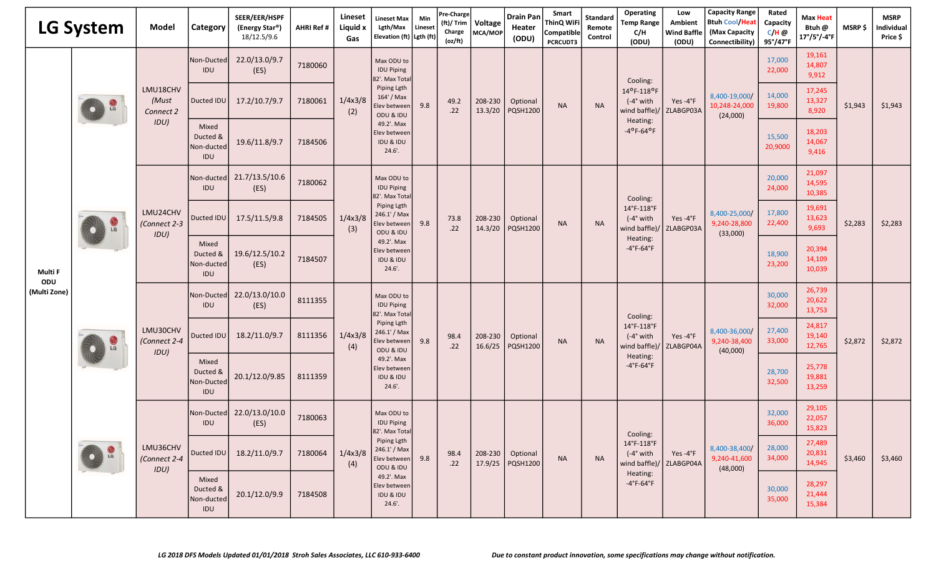| <b>LG System</b>    |                    | Model                            | Category                               | SEER/EER/HSPF<br>(Energy Star®)<br>18/12.5/9.6 | <b>AHRI Ref #</b> | Lineset<br>Liquid x<br>Gas | Lineset Max<br>Lgth/Max<br>Elevation (ft) Lgth (ft)                                                                                                                             | Min<br>Lineset | Pre-Charge<br>(ft)/ Trim<br>Charge<br>(oz/ft) | Voltage<br>MCA/MOP | <b>Drain Pan</b><br>Heater<br>(ODU) | Smart<br><b>ThinQ WiFi</b><br>Compatible<br><b>PCRCUDT3</b> | Standard<br>Remote<br>Control | Operating<br><b>Temp Range</b><br>C/H<br>(ODU)                                                      | Low<br><b>Ambient</b><br><b>Wind Baffle</b><br>(ODU) | <b>Capacity Range</b><br><b>Btuh Cool/Hea</b><br>(Max Capacity<br>Connectibility) | Rated<br>Capacity<br>$C/H$ @<br>95°/47°F | <b>Max Heat</b><br>Btuh @<br>$17^{\circ}/5^{\circ}/-4^{\circ}$ F | <b>MSRP \$</b> | <b>MSRP</b><br>Individual<br>Price \$ |
|---------------------|--------------------|----------------------------------|----------------------------------------|------------------------------------------------|-------------------|----------------------------|---------------------------------------------------------------------------------------------------------------------------------------------------------------------------------|----------------|-----------------------------------------------|--------------------|-------------------------------------|-------------------------------------------------------------|-------------------------------|-----------------------------------------------------------------------------------------------------|------------------------------------------------------|-----------------------------------------------------------------------------------|------------------------------------------|------------------------------------------------------------------|----------------|---------------------------------------|
|                     |                    |                                  | Non-Ducted<br>IDU                      | 22.0/13.0/9.7<br>(ES)                          | 7180060           |                            | Max ODU to<br><b>IDU Piping</b><br>82'. Max Tota                                                                                                                                |                |                                               |                    |                                     |                                                             |                               | Cooling:                                                                                            |                                                      |                                                                                   | 17,000<br>22,000                         | 19,161<br>14,807<br>9,912                                        |                | \$1,943                               |
|                     | $\frac{1}{2}$      | LMU18CHV<br>(Must<br>Connect 2   | Ducted IDU                             | 17.2/10.7/9.7                                  | 7180061           | 1/4x3/8<br>(2)             | Piping Lgth<br>164' / Max<br>Elev between<br>ODU & IDU                                                                                                                          | 9.8            | 49.2<br>.22                                   | 208-230<br>13.3/20 | Optional<br><b>PQSH1200</b>         | <b>NA</b>                                                   | <b>NA</b>                     | 14°F-118°F<br>$(-4°$ with<br>wind baffle)/                                                          | Yes-4°F<br>ZLABGP03A                                 | 8,400-19,000/<br>10,248-24,000<br>(24,000)                                        | 14,000<br>19,800                         | 17,245<br>13,327<br>8,920                                        | \$1,943        |                                       |
| Multi F             |                    | IDU)                             | Mixed<br>Ducted &<br>Non-ducted<br>IDU | 19.6/11.8/9.7                                  | 7184506           |                            | 49.2'. Max<br>Elev between<br><b>IDU &amp; IDU</b><br>24.6'                                                                                                                     |                |                                               |                    |                                     |                                                             |                               | Heating:<br>$-4$ °F-64°F                                                                            |                                                      |                                                                                   | 15,500<br>20,9000                        | 18,203<br>14,067<br>9,416                                        |                |                                       |
|                     |                    | LMU24CHV<br>(Connect 2-3<br>IDU) | Non-ducted <br>IDU                     | 21.7/13.5/10.6<br>(ES)                         | 7180062           |                            | Max ODU to<br><b>IDU Piping</b><br>82'. Max Tota<br>Piping Lgth<br>246.1' / Max<br>Elev between<br>ODU & IDU<br>49.2'. Max<br>Elev between<br>IDU & IDU<br>$24.6'$ .            |                |                                               |                    |                                     |                                                             |                               | Cooling:<br>14°F-118°F<br>$(-4°$ with<br>wind baffle)<br>Heating:<br>$-4^{\circ}$ F-64 $^{\circ}$ F | Yes-4°F<br>ZLABGP03A                                 | 8,400-25,000/<br>9,240-28,800<br>(33,000)                                         | 20,000<br>24,000                         | 21,097<br>14,595<br>10,385                                       | \$2,283        |                                       |
|                     |                    |                                  | Ducted IDU                             | 17.5/11.5/9.8                                  | 7184505           | 1/4x3/8<br>(3)             |                                                                                                                                                                                 | 9.8            | 73.8<br>.22                                   | 208-230<br>14.3/20 | Optional<br><b>PQSH1200</b>         | <b>NA</b>                                                   | <b>NA</b>                     |                                                                                                     |                                                      |                                                                                   | 17,800<br>22,400                         | 19,691<br>13,623<br>9,693                                        |                | \$2,283                               |
|                     |                    |                                  | Mixed<br>Ducted &<br>Non-ducted<br>IDU | 19.6/12.5/10.2<br>(ES)                         | 7184507           |                            |                                                                                                                                                                                 |                |                                               |                    |                                     |                                                             |                               |                                                                                                     |                                                      |                                                                                   | 18,900<br>23,200                         | 20,394<br>14,109<br>10,039                                       |                |                                       |
| ODU<br>(Multi Zone) |                    | LMU30CHV<br>(Connect 2-4<br>IDU) | Non-Ducted<br>IDU                      | 22.0/13.0/10.0<br>(ES)                         | 8111355           | 1/4x3/8<br>(4)             | Max ODU to<br><b>IDU Piping</b><br>82'. Max Tota<br>Piping Lgth<br>246.1' / Max<br>Elev between<br>ODU & IDU<br>49.2'. Max<br>Elev between<br><b>IDU &amp; IDU</b><br>$24.6'$ . | 9.8            | 98.4<br>.22                                   | 208-230<br>16.6/25 | Optional<br><b>PQSH1200</b>         |                                                             |                               | Cooling:                                                                                            |                                                      | 8,400-36,000/<br>9,240-38,400<br>(40,000)                                         | 30,000<br>32,000                         | 26,739<br>20,622<br>13,753                                       | \$2,872        |                                       |
|                     | $\mathbb{G}$<br>LG |                                  | Ducted IDU                             | 18.2/11.0/9.7                                  | 8111356           |                            |                                                                                                                                                                                 |                |                                               |                    |                                     | <b>NA</b>                                                   | <b>NA</b>                     | 14°F-118°F<br>$(-4°$ with<br>wind baffle)<br>Heating:<br>$-4^{\circ}$ F-64 $^{\circ}$ F             | Yes-4°F<br>ZLABGP04A                                 |                                                                                   | 27,400<br>33,000                         | 24,817<br>19,140<br>12,765                                       |                | \$2,872                               |
|                     |                    |                                  | Mixed<br>Ducted &<br>Non-Ducted<br>IDU | 20.1/12.0/9.85                                 | 8111359           |                            |                                                                                                                                                                                 |                |                                               |                    |                                     |                                                             |                               |                                                                                                     |                                                      |                                                                                   | 28,700<br>32,500                         | 25,778<br>19,881<br>13,259                                       |                |                                       |
|                     |                    |                                  | Non-Ducted<br>IDU                      | 22.0/13.0/10.0<br>(ES)                         | 7180063           |                            | Max ODU to<br><b>IDU Piping</b><br>82'. Max Total                                                                                                                               |                |                                               |                    |                                     |                                                             |                               | Cooling:                                                                                            | Yes $-4$ °F<br>ZLABGP04A                             |                                                                                   | 32,000<br>36,000                         | 29,105<br>22,057<br>15,823                                       |                |                                       |
|                     | LG                 | LMU36CHV<br>(Connect 2-4<br>IDU) | Ducted IDU                             | 18.2/11.0/9.7                                  | 7180064           | 1/4x3/8<br>(4)             | Piping Lgth<br>246.1' / Max<br>Elev between<br>ODU & IDU                                                                                                                        | 9.8            | 98.4<br>.22                                   | 208-230<br>17.9/25 | Optional<br>PQSH1200                | <b>NA</b>                                                   | <b>NA</b>                     | 14°F-118°F<br>$(-4°$ with<br>wind baffle)/<br>Heating:<br>$-4^{\circ}$ F-64 $^{\circ}$ F            |                                                      | 8,400-38,400/<br>9,240-41,600<br>(48,000)                                         | 28,000<br>34,000                         | 27,489<br>20,831<br>14,945                                       | \$3,460        | \$3,460                               |
|                     |                    |                                  | Mixed<br>Ducted &<br>Non-ducted<br>IDU | 20.1/12.0/9.9                                  | 7184508           |                            | 49.2'. Max<br>Elev between<br>IDU & IDU<br>24.6'.                                                                                                                               |                |                                               |                    |                                     |                                                             |                               |                                                                                                     |                                                      |                                                                                   | 30,000<br>35,000                         | 28,297<br>21,444<br>15,384                                       |                |                                       |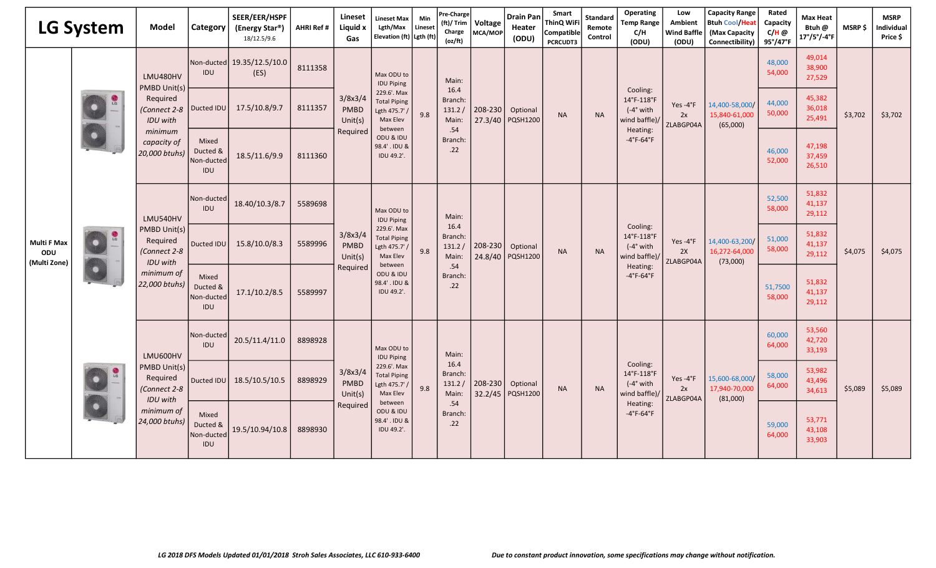|                                           | <b>LG System</b> | Model                                                                                                  | Category                               | SEER/EER/HSPF<br>(Energy Star®)<br>18/12.5/9.6 | <b>AHRI Ref #</b> | Lineset<br>Liquid x<br>Gas                    | <b>Lineset Max</b><br>Lgth/Max<br>Elevation (ft) Lgth (ft)                                                                                                | Min<br>Lineset | Pre-Charge<br>(ft)/ Trim<br>Charge<br>(oz/ft) | Voltage<br>MCA/MOP | <b>Drain Pan</b><br>Heater<br>(ODU) | Smart<br>ThinQ WiFi<br>Compatible<br><b>PCRCUDT3</b> | Standard<br>Remote<br>Control | Operating<br><b>Temp Range</b><br>C/H<br>(ODU)                                                       | Low<br><b>Ambient</b><br><b>Wind Baffle</b><br>(ODU) | <b>Capacity Range</b><br><b>Btuh Cool/Heat</b><br>(Max Capacity<br>Connectibility) | Rated<br>Capacity<br>C/H @<br>95°/47°F | <b>Max Heat</b><br>Btuh @<br>17°/5°/-4°F | MSRP\$             | <b>MSRP</b><br>Individual<br>Price \$ |
|-------------------------------------------|------------------|--------------------------------------------------------------------------------------------------------|----------------------------------------|------------------------------------------------|-------------------|-----------------------------------------------|-----------------------------------------------------------------------------------------------------------------------------------------------------------|----------------|-----------------------------------------------|--------------------|-------------------------------------|------------------------------------------------------|-------------------------------|------------------------------------------------------------------------------------------------------|------------------------------------------------------|------------------------------------------------------------------------------------|----------------------------------------|------------------------------------------|--------------------|---------------------------------------|
|                                           |                  | LMU480HV<br>PMBD Unit(s)                                                                               | IDU                                    | Non-ducted 19.35/12.5/10.0<br>(ES)             | 8111358           |                                               | Max ODU to<br><b>IDU Piping</b>                                                                                                                           |                | Main:                                         |                    |                                     |                                                      | <b>NA</b>                     | Cooling:<br>14°F-118°F<br>$(-4°$ with<br>wind baffle)/<br>Heating:<br>$-4^{\circ}$ F-64 $^{\circ}$ F | Yes-4°F<br>2x<br>ZLABGP04A                           |                                                                                    | 48,000<br>54,000                       | 49,014<br>38,900<br>27,529               |                    |                                       |
|                                           | $rac{1}{16}$     | Required<br>(Connect 2-8<br><b>IDU</b> with                                                            | Ducted IDU                             | 17.5/10.8/9.7                                  | 8111357           | 3/8x3/4<br><b>PMBD</b><br>Unit(s)             | 229.6'. Max<br><b>Total Piping</b><br>Lgth 475.7'<br>Max Elev<br>between                                                                                  | 9.8            | 16.4<br>Branch:<br>131.2/<br>Main:            | 208-230<br>27.3/40 | Optional<br>PQSH1200                | <b>NA</b>                                            |                               |                                                                                                      |                                                      | 14,400-58,000/<br>15,840-61,000<br>(65,000)                                        | 44,000<br>50,000                       | 45,382<br>36,018<br>25,491               | \$3,702<br>\$4,075 | \$3,702                               |
|                                           |                  | minimum<br>capacity of<br>20,000 btuhs)                                                                | Mixed<br>Ducted &<br>Non-ducted<br>IDU | 18.5/11.6/9.9                                  | 8111360           | Required                                      | ODU & IDU<br>98.4' . IDU &<br>IDU 49.2'.                                                                                                                  |                | .54<br>Branch:<br>.22                         |                    |                                     |                                                      |                               |                                                                                                      |                                                      |                                                                                    | 46,000<br>52,000                       | 47,198<br>37,459<br>26,510               |                    |                                       |
|                                           | $\frac{1}{2}$    | LMU540HV<br>PMBD Unit(s)<br>Required<br>(Connect 2-8<br><b>IDU</b> with<br>minimum of<br>22,000 btuhs) | Non-ducted<br>IDU                      | 18.40/10.3/8.7                                 | 5589698           | 3/8x3/4<br><b>PMBD</b><br>Unit(s)<br>Required | Max ODU to<br><b>IDU Piping</b><br>229.6'. Max<br><b>Total Piping</b><br>Lgth 475.7' /<br>Max Elev<br>between<br>ODU & IDU<br>98.4' . IDU &<br>IDU 49.2'. |                | Main:                                         |                    |                                     |                                                      |                               |                                                                                                      |                                                      |                                                                                    | 52,500<br>58,000                       | 51,832<br>41,137<br>29,112               |                    |                                       |
| <b>Multi F Max</b><br>ODU<br>(Multi Zone) |                  |                                                                                                        | Ducted IDU                             | 15.8/10.0/8.3                                  | 5589996           |                                               |                                                                                                                                                           | 9.8            | 16.4<br>Branch:<br>131.2/<br>Main:            | 208-230<br>24.8/40 | Optional<br><b>PQSH1200</b>         | <b>NA</b>                                            | <b>NA</b>                     | Cooling:<br>14°F-118°F<br>$(-4°$ with<br>wind baffle)/                                               | Yes-4°F<br>2X<br>ZLABGP04A                           | 14,400-63,200/<br>16,272-64,000<br>(73,000)                                        | 51,000<br>58,000                       | 51,832<br>41,137<br>29,112               |                    | \$4,075                               |
|                                           |                  |                                                                                                        | Mixed<br>Ducted &<br>Non-ducted<br>IDU | 17.1/10.2/8.5                                  | 5589997           |                                               |                                                                                                                                                           |                | .54<br>Branch:<br>.22                         |                    |                                     |                                                      |                               | Heating:<br>$-4^{\circ}$ F-64 $^{\circ}$ F                                                           |                                                      |                                                                                    | 51,7500<br>58,000                      | 51,832<br>41,137<br>29,112               |                    |                                       |
|                                           |                  | LMU600HV                                                                                               | Non-ducted<br>IDU                      | 20.5/11.4/11.0                                 | 8898928           |                                               | Max ODU to<br><b>IDU Piping</b>                                                                                                                           |                | Main:                                         |                    | Optional<br>PQSH1200                |                                                      |                               |                                                                                                      |                                                      |                                                                                    | 60,000<br>64,000                       | 53,560<br>42,720<br>33,193               | \$5,089            |                                       |
|                                           | L <sub>G</sub>   | PMBD Unit(s)<br>Required<br>Connect 2-8<br><b>IDU</b> with                                             | Ducted IDU                             | 18.5/10.5/10.5                                 | 8898929           | 3/8x3/4<br><b>PMBD</b><br>Unit(s)             | 229.6'. Max<br><b>Total Piping</b><br>Lgth 475.7'<br>Max Elev                                                                                             | 9.8            | 16.4<br>Branch:<br>131.2/<br>Main:            | 208-230<br>32.2/45 |                                     | <b>NA</b>                                            | <b>NA</b>                     | Cooling:<br>14°F-118°F<br>$(-4°$ with<br>wind baffle)/                                               | Yes-4°F<br>2x<br>ZLABGP04A                           | 15,600-68,000/<br>17,940-70,000<br>(81,000)                                        | 58,000<br>64,000                       | 53,982<br>43,496<br>34,613               |                    | \$5,089                               |
|                                           |                  | minimum of<br>24,000 btuhs)                                                                            | Mixed<br>Ducted &<br>Non-ducted<br>IDU | 19.5/10.94/10.8                                | 8898930           | Required                                      | between<br>ODU & IDU<br>98.4' . IDU &<br>IDU 49.2'.                                                                                                       |                | .54<br>Branch:<br>.22                         |                    |                                     |                                                      |                               | Heating:<br>$-4^{\circ}$ F-64 $^{\circ}$ F                                                           |                                                      |                                                                                    | 59,000<br>64,000                       | 53,771<br>43,108<br>33,903               |                    |                                       |